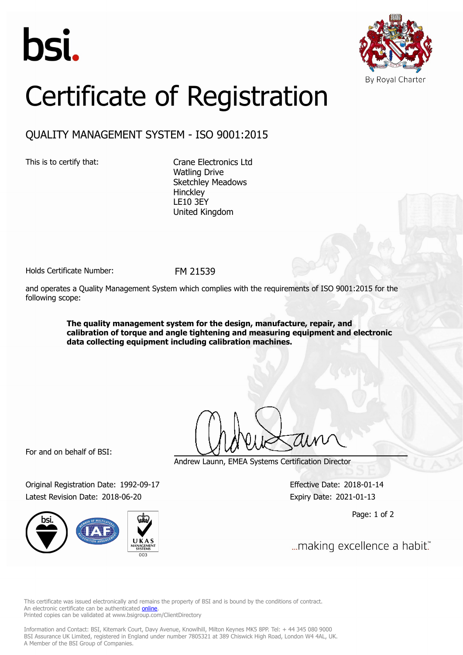



## Certificate of Registration

## QUALITY MANAGEMENT SYSTEM - ISO 9001:2015

This is to certify that: Crane Electronics Ltd Watling Drive Sketchley Meadows **Hinckley** LE10 3EY United Kingdom

Holds Certificate Number: FM 21539

and operates a Quality Management System which complies with the requirements of ISO 9001:2015 for the following scope:

> **The quality management system for the design, manufacture, repair, and calibration of torque and angle tightening and measuring equipment and electronic data collecting equipment including calibration machines.**

For and on behalf of BSI:

Original Registration Date: 1992-09-17 Effective Date: 2018-01-14 Latest Revision Date: 2018-06-20 Expiry Date: 2021-01-13



Andrew Launn, EMEA Systems Certification Director

Page: 1 of 2

... making excellence a habit."

This certificate was issued electronically and remains the property of BSI and is bound by the conditions of contract. An electronic certificate can be authenticated **[online](https://pgplus.bsigroup.com/CertificateValidation/CertificateValidator.aspx?CertificateNumber=FM+21539&ReIssueDate=20%2f06%2f2018&Template=uk)**. Printed copies can be validated at www.bsigroup.com/ClientDirectory

Information and Contact: BSI, Kitemark Court, Davy Avenue, Knowlhill, Milton Keynes MK5 8PP. Tel: + 44 345 080 9000 BSI Assurance UK Limited, registered in England under number 7805321 at 389 Chiswick High Road, London W4 4AL, UK. A Member of the BSI Group of Companies.